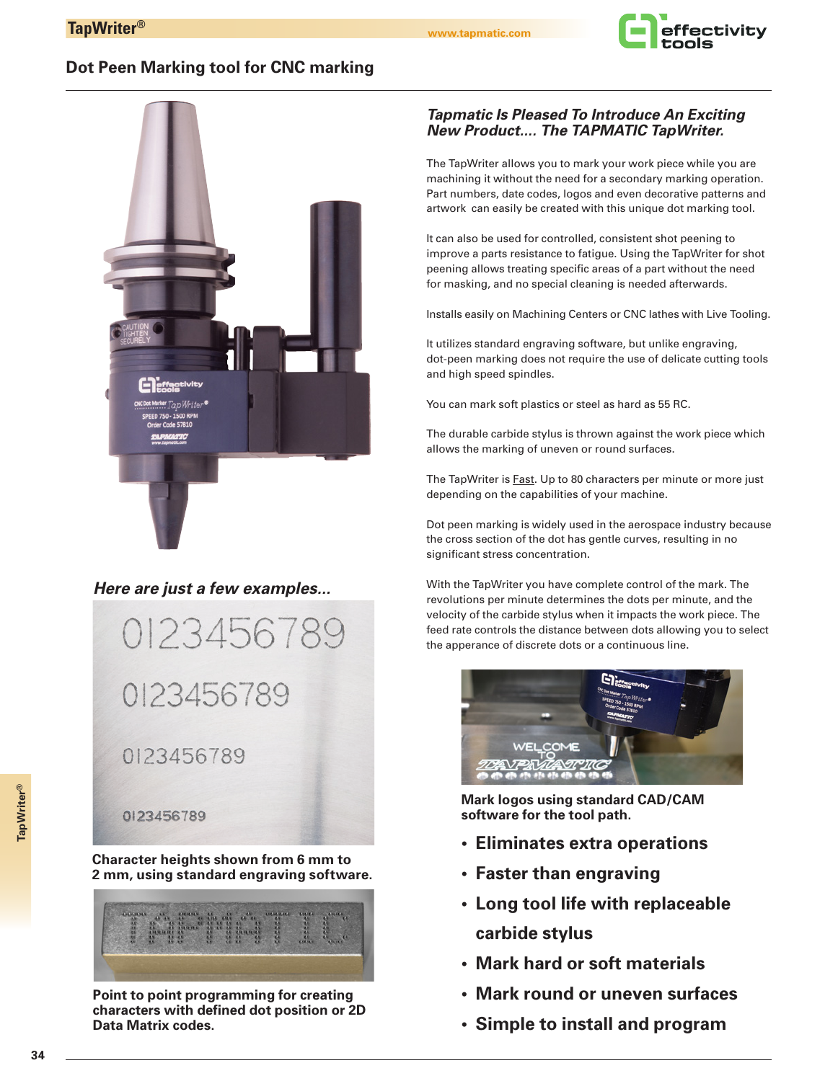

## **Dot Peen Marking tool for CNC marking**



## *Here are just a few examples...*



**Character heights shown from 6 mm to 2 mm, using standard engraving software.**



**Point to point programming for creating characters with defined dot position or 2D Data Matrix codes.**

### *Tapmatic Is Pleased To Introduce An Exciting New Product.... The TAPMATIC TapWriter.*

The TapWriter allows you to mark your work piece while you are machining it without the need for a secondary marking operation. Part numbers, date codes, logos and even decorative patterns and artwork can easily be created with this unique dot marking tool.

It can also be used for controlled, consistent shot peening to improve a parts resistance to fatigue. Using the TapWriter for shot peening allows treating specific areas of a part without the need for masking, and no special cleaning is needed afterwards.

Installs easily on Machining Centers or CNC lathes with Live Tooling.

It utilizes standard engraving software, but unlike engraving, dot-peen marking does not require the use of delicate cutting tools and high speed spindles.

You can mark soft plastics or steel as hard as 55 RC.

The durable carbide stylus is thrown against the work piece which allows the marking of uneven or round surfaces.

The TapWriter is **Fast**. Up to 80 characters per minute or more just depending on the capabilities of your machine.

Dot peen marking is widely used in the aerospace industry because the cross section of the dot has gentle curves, resulting in no significant stress concentration.

With the TapWriter you have complete control of the mark. The revolutions per minute determines the dots per minute, and the velocity of the carbide stylus when it impacts the work piece. The feed rate controls the distance between dots allowing you to select the apperance of discrete dots or a continuous line.



**Mark logos using standard CAD/CAM software for the tool path.**

- **Eliminates extra operations**
- **Faster than engraving**
- **Long tool life with replaceable carbide stylus**
- **Mark hard or soft materials**
- **Mark round or uneven surfaces**
- **Simple to install and program**